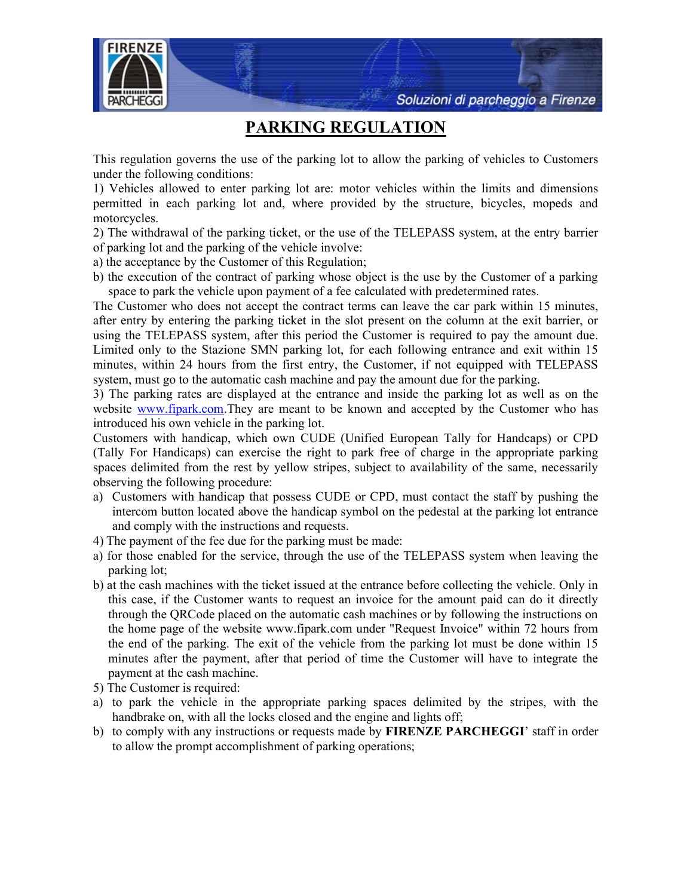Soluzioni di parcheggio a Firenze



## PARKING REGULATION

This regulation governs the use of the parking lot to allow the parking of vehicles to Customers under the following conditions:

1) Vehicles allowed to enter parking lot are: motor vehicles within the limits and dimensions permitted in each parking lot and, where provided by the structure, bicycles, mopeds and motorcycles.

2) The withdrawal of the parking ticket, or the use of the TELEPASS system, at the entry barrier of parking lot and the parking of the vehicle involve:

a) the acceptance by the Customer of this Regulation;

b) the execution of the contract of parking whose object is the use by the Customer of a parking space to park the vehicle upon payment of a fee calculated with predetermined rates.

The Customer who does not accept the contract terms can leave the car park within 15 minutes, after entry by entering the parking ticket in the slot present on the column at the exit barrier, or using the TELEPASS system, after this period the Customer is required to pay the amount due. Limited only to the Stazione SMN parking lot, for each following entrance and exit within 15 minutes, within 24 hours from the first entry, the Customer, if not equipped with TELEPASS system, must go to the automatic cash machine and pay the amount due for the parking.

3) The parking rates are displayed at the entrance and inside the parking lot as well as on the website www.fipark.com.They are meant to be known and accepted by the Customer who has introduced his own vehicle in the parking lot.

Customers with handicap, which own CUDE (Unified European Tally for Handcaps) or CPD (Tally For Handicaps) can exercise the right to park free of charge in the appropriate parking spaces delimited from the rest by yellow stripes, subject to availability of the same, necessarily observing the following procedure:

- a) Customers with handicap that possess CUDE or CPD, must contact the staff by pushing the intercom button located above the handicap symbol on the pedestal at the parking lot entrance and comply with the instructions and requests.
- 4) The payment of the fee due for the parking must be made:
- a) for those enabled for the service, through the use of the TELEPASS system when leaving the parking lot;
- b) at the cash machines with the ticket issued at the entrance before collecting the vehicle. Only in this case, if the Customer wants to request an invoice for the amount paid can do it directly through the QRCode placed on the automatic cash machines or by following the instructions on the home page of the website www.fipark.com under "Request Invoice" within 72 hours from the end of the parking. The exit of the vehicle from the parking lot must be done within 15 minutes after the payment, after that period of time the Customer will have to integrate the payment at the cash machine.
- 5) The Customer is required:
- a) to park the vehicle in the appropriate parking spaces delimited by the stripes, with the handbrake on, with all the locks closed and the engine and lights off;
- b) to comply with any instructions or requests made by **FIRENZE PARCHEGGI'** staff in order to allow the prompt accomplishment of parking operations;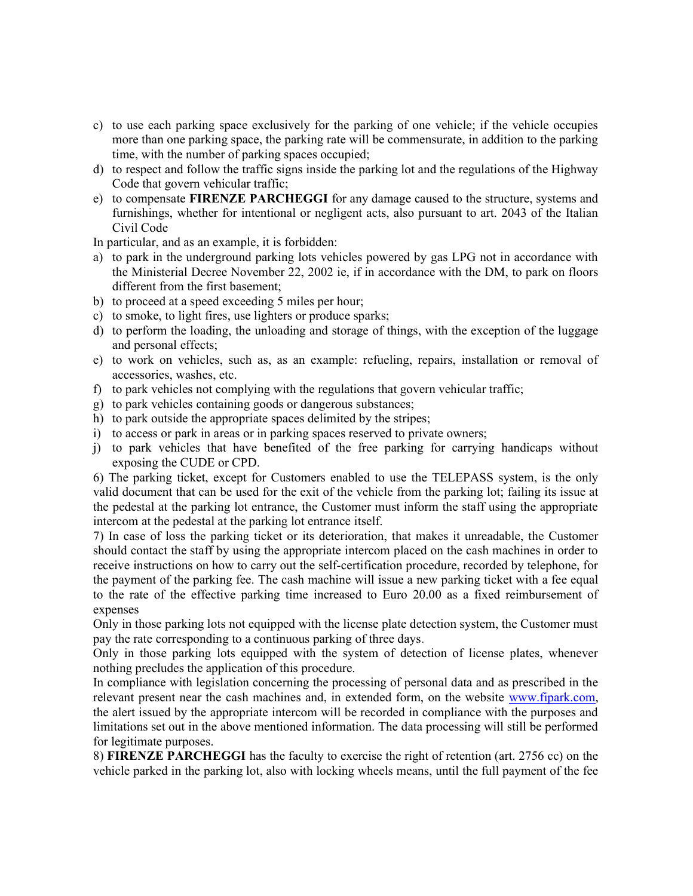- c) to use each parking space exclusively for the parking of one vehicle; if the vehicle occupies more than one parking space, the parking rate will be commensurate, in addition to the parking time, with the number of parking spaces occupied;
- d) to respect and follow the traffic signs inside the parking lot and the regulations of the Highway Code that govern vehicular traffic;
- e) to compensate FIRENZE PARCHEGGI for any damage caused to the structure, systems and furnishings, whether for intentional or negligent acts, also pursuant to art. 2043 of the Italian Civil Code

In particular, and as an example, it is forbidden:

- a) to park in the underground parking lots vehicles powered by gas LPG not in accordance with the Ministerial Decree November 22, 2002 ie, if in accordance with the DM, to park on floors different from the first basement;
- b) to proceed at a speed exceeding 5 miles per hour;
- c) to smoke, to light fires, use lighters or produce sparks;
- d) to perform the loading, the unloading and storage of things, with the exception of the luggage and personal effects;
- e) to work on vehicles, such as, as an example: refueling, repairs, installation or removal of accessories, washes, etc.
- f) to park vehicles not complying with the regulations that govern vehicular traffic;
- g) to park vehicles containing goods or dangerous substances;
- h) to park outside the appropriate spaces delimited by the stripes;
- i) to access or park in areas or in parking spaces reserved to private owners;
- j) to park vehicles that have benefited of the free parking for carrying handicaps without exposing the CUDE or CPD.

6) The parking ticket, except for Customers enabled to use the TELEPASS system, is the only valid document that can be used for the exit of the vehicle from the parking lot; failing its issue at the pedestal at the parking lot entrance, the Customer must inform the staff using the appropriate intercom at the pedestal at the parking lot entrance itself.

7) In case of loss the parking ticket or its deterioration, that makes it unreadable, the Customer should contact the staff by using the appropriate intercom placed on the cash machines in order to receive instructions on how to carry out the self-certification procedure, recorded by telephone, for the payment of the parking fee. The cash machine will issue a new parking ticket with a fee equal to the rate of the effective parking time increased to Euro 20.00 as a fixed reimbursement of expenses

Only in those parking lots not equipped with the license plate detection system, the Customer must pay the rate corresponding to a continuous parking of three days.

Only in those parking lots equipped with the system of detection of license plates, whenever nothing precludes the application of this procedure.

In compliance with legislation concerning the processing of personal data and as prescribed in the relevant present near the cash machines and, in extended form, on the website www.fipark.com, the alert issued by the appropriate intercom will be recorded in compliance with the purposes and limitations set out in the above mentioned information. The data processing will still be performed for legitimate purposes.

8) FIRENZE PARCHEGGI has the faculty to exercise the right of retention (art. 2756 cc) on the vehicle parked in the parking lot, also with locking wheels means, until the full payment of the fee